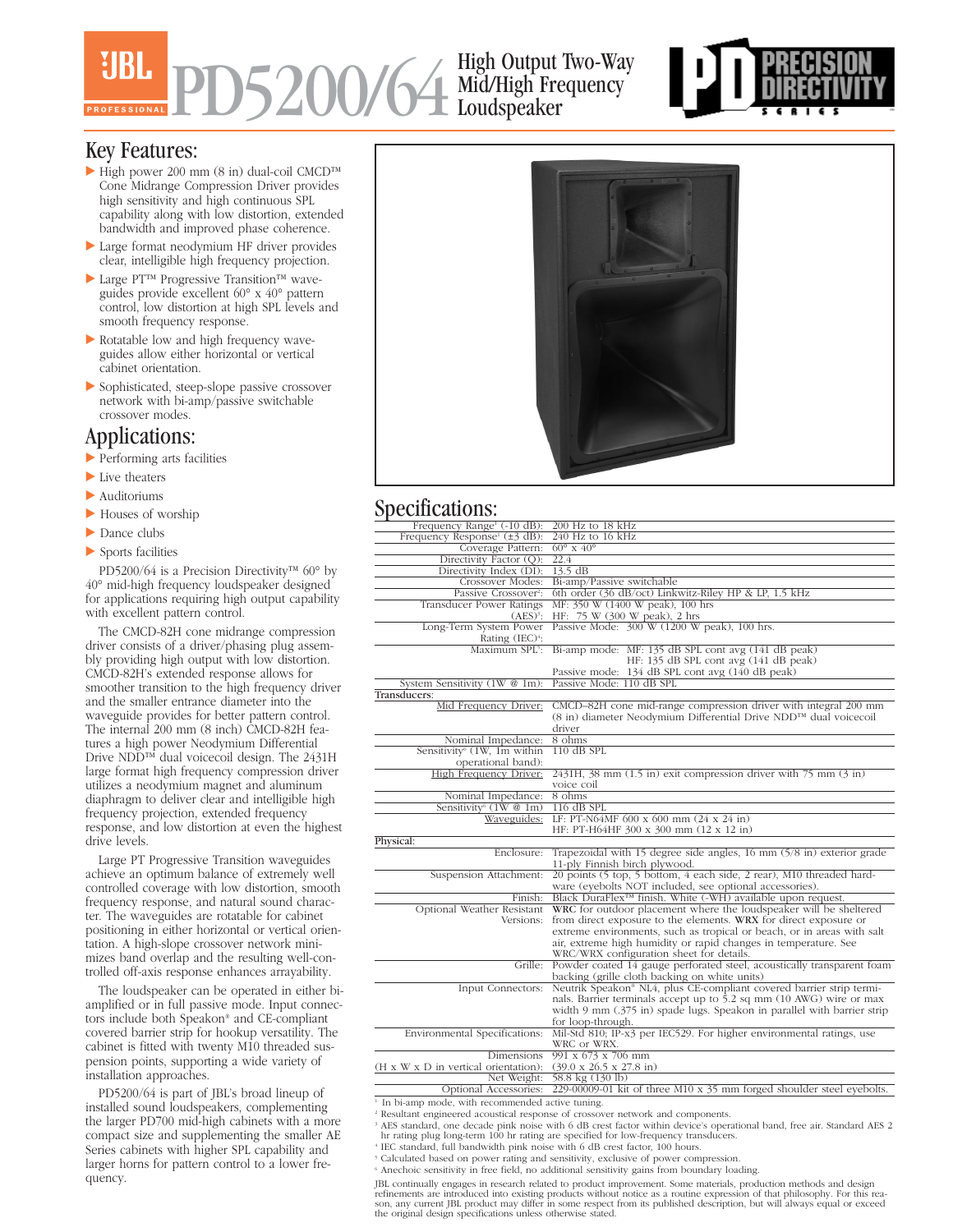# PD5200/64 High Output Two-Way Mid/High Frequency Loudspeaker



#### Key Features:

- High power 200 mm (8 in) dual-coil CMCD™ Cone Midrange Compression Driver provides high sensitivity and high continuous SPL capability along with low distortion, extended bandwidth and improved phase coherence.
- Large format neodymium HF driver provides clear, intelligible high frequency projection.
- Large PT™ Progressive Transition™ waveguides provide excellent 60° x 40° pattern control, low distortion at high SPL levels and smooth frequency response.
- Rotatable low and high frequency waveguides allow either horizontal or vertical cabinet orientation.
- Sophisticated, steep-slope passive crossover network with bi-amp/passive switchable crossover modes.

#### Applications:

- Performing arts facilities
- Live theaters
- Auditoriums
- ▶ Houses of worship
- Dance clubs
- Sports facilities

PD5200/64 is a Precision Directivity™ 60° by 40° mid-high frequency loudspeaker designed for applications requiring high output capability with excellent pattern control.

The CMCD-82H cone midrange compression driver consists of a driver/phasing plug assembly providing high output with low distortion. CMCD-82H's extended response allows for smoother transition to the high frequency driver and the smaller entrance diameter into the waveguide provides for better pattern control. The internal 200 mm (8 inch) CMCD-82H features a high power Neodymium Differential Drive NDD™ dual voicecoil design. The 2431H large format high frequency compression driver utilizes a neodymium magnet and aluminum diaphragm to deliver clear and intelligible high frequency projection, extended frequency response, and low distortion at even the highest drive levels.

Large PT Progressive Transition waveguides achieve an optimum balance of extremely well controlled coverage with low distortion, smooth frequency response, and natural sound character. The waveguides are rotatable for cabinet positioning in either horizontal or vertical orientation. A high-slope crossover network minimizes band overlap and the resulting well-controlled off-axis response enhances arrayability.

The loudspeaker can be operated in either biamplified or in full passive mode. Input connectors include both Speakon® and CE-compliant covered barrier strip for hookup versatility. The cabinet is fitted with twenty M10 threaded suspension points, supporting a wide variety of installation approaches.

PD5200/64 is part of JBL's broad lineup of installed sound loudspeakers, complementing the larger PD700 mid-high cabinets with a more compact size and supplementing the smaller AE Series cabinets with higher SPL capability and larger horns for pattern control to a lower frequency.



### Specifications:

| Frequency Range <sup>1</sup> (-10 dB):         | 200 Hz to 18 kHz                                                                       |
|------------------------------------------------|----------------------------------------------------------------------------------------|
| Frequency Response <sup>1</sup> ( $\pm$ 3 dB): | 240 Hz to 16 kHz                                                                       |
| Coverage Pattern:                              | $60^\circ \times 40^\circ$                                                             |
| Directivity Factor (Q):                        | 22.4                                                                                   |
| Directivity Index (DI):                        | $13.5 \text{ dB}$                                                                      |
| Crossover Modes:                               | Bi-amp/Passive switchable                                                              |
| Passive Crossover <sup>2</sup> :               | 6th order (36 dB/oct) Linkwitz-Riley HP & LP, 1.5 kHz                                  |
| <b>Transducer Power Ratings</b>                | MF: 350 W (1400 W peak), 100 hrs                                                       |
| $(AES)^3$ :                                    | HF: 75 W (300 W peak), 2 hrs                                                           |
| Long-Term System Power                         | Passive Mode: 300 W (1200 W peak), 100 hrs.                                            |
| Rating $(IEC)^4$ :                             |                                                                                        |
|                                                | Maximum SPL <sup>5</sup> : Bi-amp mode: MF: 135 dB SPL cont avg (141 dB peak)          |
|                                                | HF: 135 dB SPL cont avg (141 dB peak)                                                  |
|                                                | Passive mode: 134 dB SPL cont avg (140 dB peak)                                        |
| System Sensitivity $(1W \tQ 1m)$ :             | Passive Mode: 110 dB SPL                                                               |
| Transducers:                                   |                                                                                        |
| Mid Frequency Driver:                          | CMCD-82H cone mid-range compression driver with integral 200 mm                        |
|                                                | (8 in) diameter Neodymium Differential Drive NDD™ dual voicecoil                       |
|                                                | driver                                                                                 |
| Nominal Impedance:                             | 8 ohms                                                                                 |
| Sensitivity <sup>6</sup> (1W, 1m within        | $110$ dB SPL                                                                           |
| operational band):                             |                                                                                        |
| High Frequency Driver:                         | $2431H$ , 38 mm $(1.5 \text{ in})$ exit compression driver with 75 mm $(3 \text{ in})$ |
|                                                | voice coil                                                                             |
| Nominal Impedance:                             | 8 ohms                                                                                 |
| Sensitivity <sup>6</sup> $(1W@1m)$             | $116$ dB SPL                                                                           |
| Waveguides:                                    | LF: PT-N64MF 600 x 600 mm $(24 \times 24 \text{ in})$                                  |
|                                                | HF: PT-H64HF 300 x 300 mm (12 x 12 in)                                                 |
| Physical:                                      |                                                                                        |
| Enclosure:                                     | Trapezoidal with 15 degree side angles, $16 \text{ mm}$ (5/8 in) exterior grade        |
|                                                | 11-ply Finnish birch plywood.                                                          |
| Suspension Attachment:                         | 20 points (5 top, 5 bottom, 4 each side, 2 rear), M10 threaded hard-                   |
|                                                | ware (eyebolts NOT included, see optional accessories).                                |
| Finish:                                        | Black DuraFlex <sup>™</sup> finish. White (-WH) available upon request.                |
| Optional Weather Resistant                     | WRC for outdoor placement where the loudspeaker will be sheltered                      |
| Versions:                                      | from direct exposure to the elements. WRX for direct exposure or                       |
|                                                | extreme environments, such as tropical or beach, or in areas with salt                 |
|                                                | air, extreme high humidity or rapid changes in temperature. See                        |
|                                                | WRC/WRX configuration sheet for details.                                               |
|                                                | Grille: Powder coated 14 gauge perforated steel, acoustically transparent foam         |
|                                                | backing (grille cloth backing on white units)                                          |
| Input Connectors:                              | Neutrik Speakon® NL4, plus CE-compliant covered barrier strip termi-                   |
|                                                | nals. Barrier terminals accept up to 5.2 sq mm (10 AWG) wire or max                    |
|                                                | width 9 mm (.375 in) spade lugs. Speakon in parallel with barrier strip                |
|                                                | for loop-through.                                                                      |
| Environmental Specifications:                  | Mil-Std 810; IP-x3 per IEC529. For higher environmental ratings, use                   |
|                                                | WRC or WRX.                                                                            |
| Dimensions                                     | $991 \times 673 \times 706$ mm                                                         |
| (H x W x D in vertical orientation):           | $(39.0 \times 26.5 \times 27.8 \text{ in})$                                            |
| Net Weight:                                    | 58.8 kg (130 lb)                                                                       |
| Optional Accessories:                          | 229-00009-01 kit of three M10 x 35 mm forged shoulder steel eyebolts.                  |

1. In bi-amp mode, with recommended active tuning.

Frequency experience acoustical response of crossover network and components.<br>
FAES standard, one decade pink noise with 6 dB crest factor within device's operational band, free air. Standard AES 2 hr rating plug long-term

<sup>5</sup> Calculated based on power rating and sensitivity, exclusive of power compression.

<sup>6</sup> Anechoic sensitivity in free field, no additional sensitivity gains from boundary loading.

JBL continually engages in research related to product improvement. Some materials, production methods and design refinements are introduced into existing products without notice as a routine expression of that philosophy. For this rea-<br>son, any current JBL product may differ in some respect from its published description, but will al the original design specifications unless otherwise stated.